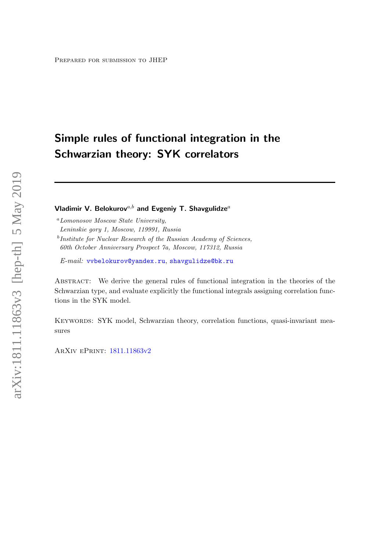# Simple rules of functional integration in the Schwarzian theory: SYK correlators

Vladimir V. Belokurov<sup>a,b</sup> and Evgeniy T. Shavgulidze<sup>a</sup>

<sup>b</sup>Institute for Nuclear Research of the Russian Academy of Sciences, 60th October Anniversary Prospect 7a, Moscow, 117312, Russia

E-mail: [vvbelokurov@yandex.ru](mailto:vvbelokurov@yandex.ru), [shavgulidze@bk.ru](mailto:shavgulidze@bk.ru)

ABSTRACT: We derive the general rules of functional integration in the theories of the Schwarzian type, and evaluate explicitly the functional integrals assigning correlation functions in the SYK model.

KEYWORDS: SYK model, Schwarzian theory, correlation functions, quasi-invariant measures

ArXiv ePrint: [1811.11863v2](http://arxiv.org/abs/1811.11863v2)

<sup>a</sup>Lomonosov Moscow State University,

Leninskie gory 1, Moscow, 119991, Russia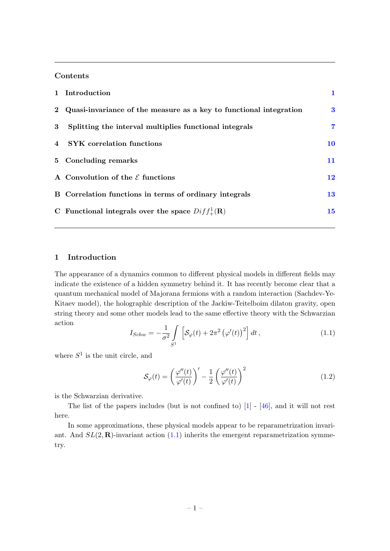# Contents

|                | 1 Introduction                                                       |           |
|----------------|----------------------------------------------------------------------|-----------|
|                | 2 Quasi-invariance of the measure as a key to functional integration | 3         |
| 3              | Splitting the interval multiplies functional integrals               | 7         |
| $\overline{4}$ | <b>SYK</b> correlation functions                                     | <b>10</b> |
|                | 5 Concluding remarks                                                 | 11        |
|                | A Convolution of the $\mathcal E$ functions                          | 12        |
|                | B Correlation functions in terms of ordinary integrals               | <b>13</b> |
|                | C Functional integrals over the space $Diff_{+}^{1}(\mathbf{R})$     | 15        |

# <span id="page-1-0"></span>1 Introduction

The appearance of a dynamics common to different physical models in different fields may indicate the existence of a hidden symmetry behind it. It has recently become clear that a quantum mechanical model of Majorana fermions with a random interaction (Sachdev-Ye-Kitaev model), the holographic description of the Jackiw-Teitelboim dilaton gravity, open string theory and some other models lead to the same effective theory with the Schwarzian action

<span id="page-1-1"></span>
$$
I_{Schw} = -\frac{1}{\sigma^2} \int\limits_{S^1} \left[ \mathcal{S}_{\varphi}(t) + 2\pi^2 \left( \varphi'(t) \right)^2 \right] dt , \qquad (1.1)
$$

where  $S^1$  is the unit circle, and

$$
\mathcal{S}_{\varphi}(t) = \left(\frac{\varphi''(t)}{\varphi'(t)}\right)' - \frac{1}{2} \left(\frac{\varphi''(t)}{\varphi'(t)}\right)^2 \tag{1.2}
$$

is the Schwarzian derivative.

The list of the papers includes (but is not confined to) [\[1\]](#page-18-0) - [\[46\]](#page-20-0), and it will not rest here.

In some approximations, these physical models appear to be reparametrization invariant. And  $SL(2,\mathbf{R})$ -invariant action [\(1.1\)](#page-1-1) inherits the emergent reparametrization symmetry.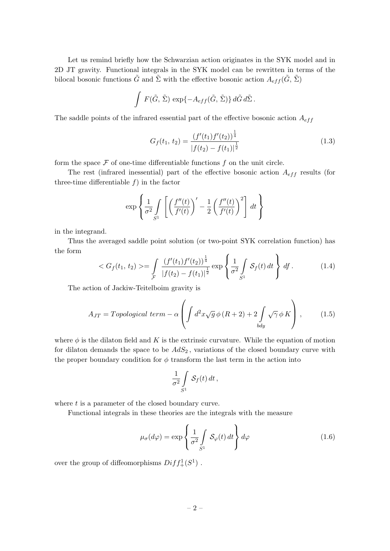Let us remind briefly how the Schwarzian action originates in the SYK model and in 2D JT gravity. Functional integrals in the SYK model can be rewritten in terms of the bilocal bosonic functions  $\tilde{G}$  and  $\tilde{\Sigma}$  with the effective bosonic action  $A_{eff}(\tilde{G}, \tilde{\Sigma})$ 

$$
\int F(\tilde{G}, \tilde{\Sigma}) \, \exp\{-A_{eff}(\tilde{G}, \tilde{\Sigma})\} \, d\tilde{G} \, d\tilde{\Sigma} \, .
$$

The saddle points of the infrared essential part of the effective bosonic action  $A_{eff}$ 

$$
G_f(t_1, t_2) = \frac{(f'(t_1)f'(t_2))^{\frac{1}{4}}}{|f(t_2) - f(t_1)|^{\frac{1}{2}}}
$$
\n(1.3)

form the space  $\mathcal F$  of one-time differentiable functions  $f$  on the unit circle.

The rest (infrared inessential) part of the effective bosonic action  $A_{eff}$  results (for three-time differentiable  $f$ ) in the factor

$$
\exp\left\{\frac{1}{\sigma^2} \int\limits_{S^1} \left[ \left(\frac{f''(t)}{f'(t)}\right)' - \frac{1}{2} \left(\frac{f''(t)}{f'(t)}\right)^2 \right] dt \right\}
$$

in the integrand.

Thus the averaged saddle point solution (or two-point SYK correlation function) has the form

<span id="page-2-1"></span>
$$
\langle G_f(t_1, t_2) \rangle = \int_{\mathcal{F}} \frac{(f'(t_1)f'(t_2))^{\frac{1}{4}}}{|f(t_2) - f(t_1)|^{\frac{1}{2}}} \exp\left\{ \frac{1}{\sigma^2} \int_{S^1} \mathcal{S}_f(t) dt \right\} df. \tag{1.4}
$$

The action of Jackiw-Teitelboim gravity is

$$
A_{JT} = Topological \ term - \alpha \left( \int d^2x \sqrt{g} \phi (R+2) + 2 \int \sqrt{\gamma} \phi K \right), \tag{1.5}
$$

where  $\phi$  is the dilaton field and K is the extrinsic curvature. While the equation of motion for dilaton demands the space to be  $AdS_2$ , variations of the closed boundary curve with the proper boundary condition for  $\phi$  transform the last term in the action into

$$
\frac{1}{\sigma^2} \int\limits_{S^1} \mathcal{S}_f(t) \, dt \, ,
$$

where  $t$  is a parameter of the closed boundary curve.

Functional integrals in these theories are the integrals with the measure

<span id="page-2-0"></span>
$$
\mu_{\sigma}(d\varphi) = \exp\left\{\frac{1}{\sigma^2} \int\limits_{S^1} \mathcal{S}_{\varphi}(t) dt\right\} d\varphi \tag{1.6}
$$

over the group of diffeomorphisms  $Diff^{1}_{+}(S^{1})$ .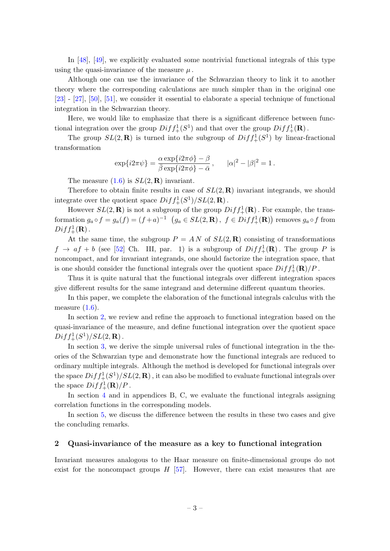In [\[48\]](#page-20-1), [\[49\]](#page-20-2), we explicitly evaluated some nontrivial functional integrals of this type using the quasi-invariance of the measure  $\mu$ .

Although one can use the invariance of the Schwarzian theory to link it to another theory where the corresponding calculations are much simpler than in the original one [\[23\]](#page-19-0) - [\[27\]](#page-19-1), [\[50\]](#page-20-3), [\[51\]](#page-20-4), we consider it essential to elaborate a special technique of functional integration in the Schwarzian theory.

Here, we would like to emphasize that there is a significant difference between functional integration over the group  $Diff_{+}^{1}(S^{1})$  and that over the group  $Diff_{+}^{1}(\mathbf{R})$ .

The group  $SL(2,\mathbf{R})$  is turned into the subgroup of  $Diff^{1}_{+}(S^{1})$  by linear-fractional transformation

$$
\exp\{i2\pi\psi\} = \frac{\alpha\exp\{i2\pi\phi\} - \beta}{\bar{\beta}\exp\{i2\pi\phi\} - \bar{\alpha}}, \qquad |\alpha|^2 - |\beta|^2 = 1.
$$

The measure  $(1.6)$  is  $SL(2,\mathbf{R})$  invariant.

Therefore to obtain finite results in case of  $SL(2,\mathbf{R})$  invariant integrands, we should integrate over the quotient space  $Diff_{+}^{1}(S^{1})/SL(2,\mathbf{R})$ .

However  $SL(2,\mathbf{R})$  is not a subgroup of the group  $Diff_{+}^{1}(\mathbf{R})$ . For example, the transformation  $g_a \circ f = g_a(f) = (f+a)^{-1}$   $(g_a \in SL(2, \mathbf{R}), f \in Diff^1_+(\mathbf{R}))$  removes  $g_a \circ f$  from  $Diff_{+}^{1}(\mathbf{R})$  .

At the same time, the subgroup  $P = AN$  of  $SL(2,\mathbf{R})$  consisting of transformations  $f \rightarrow af + b$  (see [\[52\]](#page-20-5) Ch. III, par. 1) is a subgroup of  $Diff_{+}^{1}(\mathbf{R})$ . The group P is noncompact, and for invariant integrands, one should factorize the integration space, that is one should consider the functional integrals over the quotient space  $Diff_{+}^{1}(\mathbf{R})/P$ .

Thus it is quite natural that the functional integrals over different integration spaces give different results for the same integrand and determine different quantum theories.

In this paper, we complete the elaboration of the functional integrals calculus with the measure  $(1.6)$ .

In section [2,](#page-3-0) we review and refine the approach to functional integration based on the quasi-invariance of the measure, and define functional integration over the quotient space  $Diff_{+}^{1}(S^{1})/SL(2,\mathbf{R})$  .

In section [3,](#page-7-0) we derive the simple universal rules of functional integration in the theories of the Schwarzian type and demonstrate how the functional integrals are reduced to ordinary multiple integrals. Although the method is developed for functional integrals over the space  $Diff_{+}^{1}(S^{1})/SL(2, {\bf R})$  , it can also be modified to evaluate functional integrals over the space  $Diff_{+}^{1}(\mathbf{R})/P$ .

In section [4](#page-10-0) and in appendices B, C, we evaluate the functional integrals assigning correlation functions in the corresponding models.

In section [5,](#page-11-0) we discuss the difference between the results in these two cases and give the concluding remarks.

#### <span id="page-3-0"></span>2 Quasi-invariance of the measure as a key to functional integration

Invariant measures analogous to the Haar measure on finite-dimensional groups do not exist for the noncompact groups  $H$  [\[57\]](#page-20-6). However, there can exist measures that are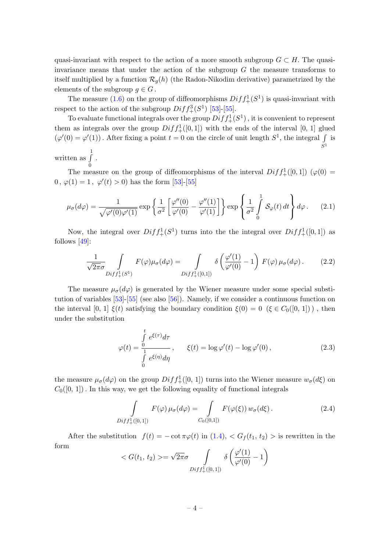quasi-invariant with respect to the action of a more smooth subgroup  $G \subset H$ . The quasiinvariance means that under the action of the subgroup  $G$  the measure transforms to itself multiplied by a function  $\mathcal{R}_q(h)$  (the Radon-Nikodim derivative) parametrized by the elements of the subgroup  $g \in G$ .

The measure [\(1.6\)](#page-2-0) on the group of diffeomorphisms  $Diff_{+}^{1}(S^{1})$  is quasi-invariant with respect to the action of the subgroup  $Diff_{+}^{3}(S^{1})$  [\[53\]](#page-20-7)-[\[55\]](#page-20-8).

To evaluate functional integrals over the group  $Diff_{+}^{1}(S^{1})$  , it is convenient to represent them as integrals over the group  $Diff_{+}^{1}([0,1])$  with the ends of the interval [0, 1] glued  $(\varphi'(0) = \varphi'(1))$ . After fixing a point  $t = 0$  on the circle of unit length  $S^1$ , the integral  $\int$  is  $S^1$ .

written as  $\int$ 0

The measure on the group of diffeomorphisms of the interval  $Diff_{+}^{1}([0,1]) (\varphi(0) =$  $0, \varphi(1) = 1, \varphi'(t) > 0$  has the form [\[53\]](#page-20-7)-[\[55\]](#page-20-8)

<span id="page-4-0"></span>
$$
\mu_{\sigma}(d\varphi) = \frac{1}{\sqrt{\varphi'(0)\varphi'(1)}} \exp\left\{\frac{1}{\sigma^2} \left[\frac{\varphi''(0)}{\varphi'(0)} - \frac{\varphi''(1)}{\varphi'(1)}\right] \right\} \exp\left\{\frac{1}{\sigma^2} \int_0^1 \mathcal{S}_{\varphi}(t) dt \right\} d\varphi. \tag{2.1}
$$

Now, the integral over  $Diff_{+}^{1}(S^{1})$  turns into the the integral over  $Diff_{+}^{1}([0,1])$  as follows [\[49\]](#page-20-2):

$$
\frac{1}{\sqrt{2\pi}\sigma} \int_{Diff_{+}^{1}(S^{1})} F(\varphi)\mu_{\sigma}(d\varphi) = \int_{Diff_{+}^{1}([0,1])} \delta\left(\frac{\varphi'(1)}{\varphi'(0)} - 1\right) F(\varphi)\mu_{\sigma}(d\varphi).
$$
 (2.2)

The measure  $\mu_{\sigma}(d\varphi)$  is generated by the Wiener measure under some special substitution of variables  $[53]$ - $[55]$  (see also  $[56]$ ). Namely, if we consider a continuous function on the interval [0, 1]  $\xi(t)$  satisfying the boundary condition  $\xi(0) = 0$  ( $\xi \in C_0([0, 1])$ ), then under the substitution

<span id="page-4-2"></span>
$$
\varphi(t) = \frac{\int_{0}^{t} e^{\xi(\tau)} d\tau}{\int_{0}^{t} e^{\xi(\eta)} d\eta}, \qquad \xi(t) = \log \varphi'(t) - \log \varphi'(0), \qquad (2.3)
$$

the measure  $\mu_{\sigma}(d\varphi)$  on the group  $Diff_{+}^{1}([0, 1])$  turns into the Wiener measure  $w_{\sigma}(d\xi)$  on  $C_0([0, 1])$ . In this way, we get the following equality of functional integrals

<span id="page-4-1"></span>
$$
\int_{Diff_{+}^{1}([0,1])} F(\varphi) \mu_{\sigma}(d\varphi) = \int_{C_{0}([0,1])} F(\varphi(\xi)) w_{\sigma}(d\xi).
$$
\n(2.4)

After the substitution  $f(t) = -\cot \pi \varphi(t)$  in  $(1.4), < G_f(t_1, t_2) > \text{is rewritten in the}$ form

$$
\langle G(t_1, t_2) \rangle = \sqrt{2\pi}\sigma \int\limits_{Diff_{+}^{1}([0, 1])} \delta\left(\frac{\varphi'(1)}{\varphi'(0)} - 1\right)
$$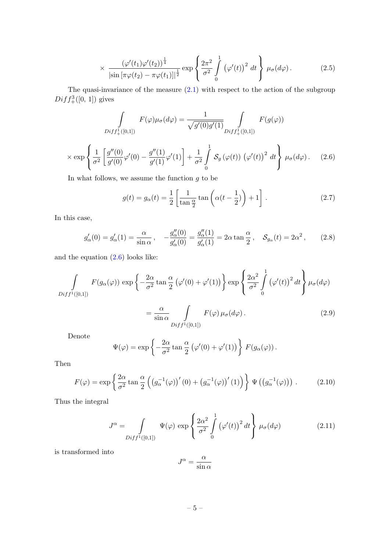<span id="page-5-2"></span>
$$
\times \frac{\left(\varphi'(t_1)\varphi'(t_2)\right)^{\frac{1}{4}}}{\left|\sin\left[\pi\varphi(t_2)-\pi\varphi(t_1)\right]\right|^{\frac{1}{2}}} \exp\left\{\frac{2\pi^2}{\sigma^2} \int\limits_0^1 \left(\varphi'(t)\right)^2 dt\right\} \mu_{\sigma}(d\varphi).
$$
 (2.5)

The quasi-invariance of the measure  $(2.1)$  with respect to the action of the subgroup  $Diff_{+}^{3}([0, 1])$  gives

$$
\int_{Diff_{+}^{1}([0,1])} F(\varphi)\mu_{\sigma}(d\varphi) = \frac{1}{\sqrt{g'(0)g'(1)}} \int_{Diff_{+}^{1}([0,1])} F(g(\varphi))
$$
\n
$$
\times \exp\left\{\frac{1}{\sigma^{2}} \left[\frac{g''(0)}{g'(0)}\varphi'(0) - \frac{g''(1)}{g'(1)}\varphi'(1)\right] + \frac{1}{\sigma^{2}} \int_{0}^{1} \mathcal{S}_{g}(\varphi(t)) \left(\varphi'(t)\right)^{2} dt \right\} \mu_{\sigma}(d\varphi).
$$
\n(2.6)

<span id="page-5-0"></span>In what follows, we assume the function  $g$  to be

<span id="page-5-1"></span>
$$
g(t) = g_{\alpha}(t) = \frac{1}{2} \left[ \frac{1}{\tan \frac{\alpha}{2}} \tan \left( \alpha (t - \frac{1}{2}) \right) + 1 \right].
$$
 (2.7)

In this case,

$$
g'_{\alpha}(0) = g'_{\alpha}(1) = \frac{\alpha}{\sin \alpha}, \quad -\frac{g''_{\alpha}(0)}{g'_{\alpha}(0)} = \frac{g''_{\alpha}(1)}{g'_{\alpha}(1)} = 2\alpha \tan \frac{\alpha}{2}, \quad S_{g_{\alpha}}(t) = 2\alpha^2, \quad (2.8)
$$

and the equation [\(2.6\)](#page-5-0) looks like:

$$
\int_{Diff^{1}([0,1])} F(g_{\alpha}(\varphi)) \exp \left\{-\frac{2\alpha}{\sigma^{2}} \tan \frac{\alpha}{2} (\varphi'(0) + \varphi'(1))\right\} \exp \left\{\frac{2\alpha^{2}}{\sigma^{2}} \int_{0}^{1} (\varphi'(t))^{2} dt\right\} \mu_{\sigma}(d\varphi)
$$

$$
=\frac{\alpha}{\sin\alpha}\int\limits_{Diff^{1}([0,1])}F(\varphi)\,\mu_{\sigma}(d\varphi). \tag{2.9}
$$

Denote

$$
\Psi(\varphi) = \exp\left\{-\frac{2\alpha}{\sigma^2}\tan\frac{\alpha}{2}\left(\varphi'(0) + \varphi'(1)\right)\right\} F(g_\alpha(\varphi)).
$$

Then

$$
F(\varphi) = \exp\left\{\frac{2\alpha}{\sigma^2} \tan\frac{\alpha}{2} \left( \left( g_\alpha^{-1}(\varphi) \right)'(0) + \left( g_\alpha^{-1}(\varphi) \right)'(1) \right) \right\} \Psi\left( \left( g_\alpha^{-1}(\varphi) \right) \right). \tag{2.10}
$$

Thus the integral

<span id="page-5-3"></span>
$$
J^{\alpha} = \int_{Diff^{1}([0,1])} \Psi(\varphi) \exp\left\{\frac{2\alpha^{2}}{\sigma^{2}} \int_{0}^{1} (\varphi'(t))^{2} dt\right\} \mu_{\sigma}(d\varphi)
$$
(2.11)

is transformed into

$$
J^{\alpha} = \frac{\alpha}{\sin \alpha}
$$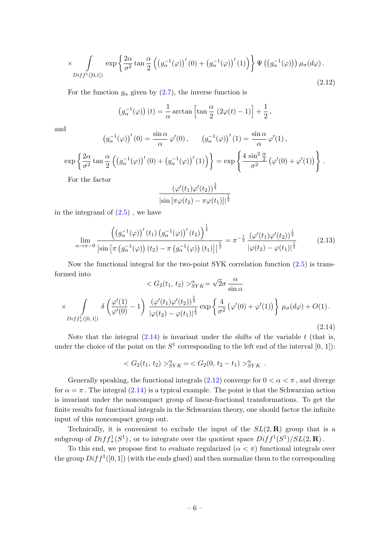<span id="page-6-1"></span>
$$
\times \int_{Diff^{1}([0,1])} \exp \left\{ \frac{2\alpha}{\sigma^{2}} \tan \frac{\alpha}{2} \left( \left( g_{\alpha}^{-1}(\varphi) \right)'(0) + \left( g_{\alpha}^{-1}(\varphi) \right)'(1) \right) \right\} \Psi \left( \left( g_{\alpha}^{-1}(\varphi) \right) \right) \mu_{\sigma}(d\varphi).
$$
\n(2.12)

For the function  $g_{\alpha}$  given by [\(2.7\)](#page-5-1), the inverse function is

$$
(g_{\alpha}^{-1}(\varphi)) (t) = \frac{1}{\alpha} \arctan \left[ \tan \frac{\alpha}{2} (2\varphi(t) - 1) \right] + \frac{1}{2},
$$

and

ex

$$
\left(g_{\alpha}^{-1}(\varphi)\right)'(0) = \frac{\sin \alpha}{\alpha} \varphi'(0), \qquad \left(g_{\alpha}^{-1}(\varphi)\right)'(1) = \frac{\sin \alpha}{\alpha} \varphi'(1),
$$

$$
p\left\{\frac{2\alpha}{\sigma^2} \tan \frac{\alpha}{2} \left(\left(g_{\alpha}^{-1}(\varphi)\right)'(0) + \left(g_{\alpha}^{-1}(\varphi)\right)'(1)\right)\right\} = \exp\left\{\frac{4\sin^2\frac{\alpha}{2}}{\sigma^2} \left(\varphi'(0) + \varphi'(1)\right)\right\}
$$

.

For the factor

$$
\frac{\left(\varphi'(t_1)\varphi'(t_2)\right)^{\frac{1}{4}}}{\left|\sin\left[\pi\varphi(t_2)-\pi\varphi(t_1)\right]\right|^{\frac{1}{2}}}
$$

in the integrand of  $(2.5)$ , we have

$$
\lim_{\alpha \to \pi - 0} \frac{\left( \left( g_{\alpha}^{-1}(\varphi) \right)'(t_1) \left( g_{\alpha}^{-1}(\varphi) \right)'(t_2) \right)^{\frac{1}{4}}}{\left| \sin \left[ \pi \left( g_{\alpha}^{-1}(\varphi) \right) (t_2) - \pi \left( g_{\alpha}^{-1}(\varphi) \right) (t_1) \right] \right|^{\frac{1}{2}}} = \pi^{-\frac{1}{2}} \frac{\left( \varphi'(t_1) \varphi'(t_2) \right)^{\frac{1}{4}}}{\left| \varphi(t_2) - \varphi(t_1) \right|^{\frac{1}{2}}} \tag{2.13}
$$

Now the functional integral for the two-point SYK correlation function [\(2.5\)](#page-5-2) is transformed into √

<span id="page-6-0"></span>
$$
\langle G_2(t_1, t_2) \rangle_{SYK}^{\alpha} = \sqrt{2}\sigma \frac{\alpha}{\sin \alpha}
$$

$$
\times \int_{Diff_+^1([0, 1])} \delta \left( \frac{\varphi'(1)}{\varphi'(0)} - 1 \right) \frac{(\varphi'(t_1)\varphi'(t_2))^{\frac{1}{4}}}{|\varphi(t_2) - \varphi(t_1)|^{\frac{1}{2}}} \exp \left\{ \frac{4}{\sigma^2} \left( \varphi'(0) + \varphi'(1) \right) \right\} \mu_{\sigma}(d\varphi) + O(1).
$$
\n(2.14)

Note that the integral  $(2.14)$  is invariant under the shifts of the variable t (that is, under the choice of the point on the  $S^1$  corresponding to the left end of the interval  $[0, 1]$ :

$$
\langle G_2(t_1, t_2) \rangle_{SYK}^{\alpha} = \langle G_2(0, t_2 - t_1) \rangle_{SYK}^{\alpha} .
$$

Generally speaking, the functional integrals [\(2.12\)](#page-6-1) converge for  $0 < \alpha < \pi$ , and diverge for  $\alpha = \pi$ . The integral [\(2.14\)](#page-6-0) is a typical example. The point is that the Schwarzian action is invariant under the noncompact group of linear-fractional transformations. To get the finite results for functional integrals in the Schwarzian theory, one should factor the infinite input of this noncompact group out.

Technically, it is convenient to exclude the input of the  $SL(2,\mathbf{R})$  group that is a subgroup of  $Diff_{+}^{1}(S^{1})$ , or to integrate over the quotient space  $Diff^{1}(S^{1})/SL(2, \mathbf{R})$ .

To this end, we propose first to evaluate regularized  $(\alpha < \pi)$  functional integrals over the group  $Diff^1([0,1])$  (with the ends glued) and then normalize them to the corresponding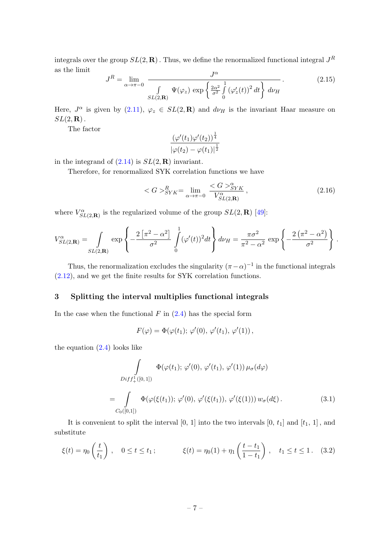integrals over the group  $SL(2,\mathbf{R})$  . Thus, we define the renormalized functional integral  $J^R$ as the limit

$$
J^{R} = \lim_{\alpha \to \pi - 0} \frac{J^{\alpha}}{\int \limits_{SL(2,\mathbf{R})} \Psi(\varphi_{z}) \exp\left\{\frac{2\alpha^{2}}{\sigma^{2}} \int_{0}^{1} (\varphi_{z}'(t))^{2} dt\right\} d\nu_{H}}.
$$
 (2.15)

Here,  $J^{\alpha}$  is given by [\(2.11\)](#page-5-3),  $\varphi_z \in SL(2,\mathbf{R})$  and  $d\nu_H$  is the invariant Haar measure on  $SL(2,\mathbf{R})$ .

The factor

$$
\frac{\left(\varphi'(t_1)\varphi'(t_2)\right)^{\frac{1}{4}}}{\left|\varphi(t_2)-\varphi(t_1)\right|^{\frac{1}{2}}}
$$

in the integrand of  $(2.14)$  is  $SL(2,\mathbf{R})$  invariant.

Therefore, for renormalized SYK correlation functions we have

$$
\langle G \rangle_{SYK}^R = \lim_{\alpha \to \pi - 0} \frac{\langle G \rangle_{SYK}^{\alpha}}{V_{SL(2,\mathbf{R})}^{\alpha}}, \tag{2.16}
$$

where  $V_{SL(2,\mathbf{R})}^{\alpha}$  is the regularized volume of the group  $SL(2,\mathbf{R})$  [\[49\]](#page-20-2):

$$
V_{SL(2,\mathbf{R})}^{\alpha} = \int_{SL(2,\mathbf{R})} \exp\left\{-\frac{2\left[\pi^2 - \alpha^2\right]}{\sigma^2} \int\limits_0^1 (\varphi'(t))^2 dt\right\} d\nu_H = \frac{\pi \sigma^2}{\pi^2 - \alpha^2} \exp\left\{-\frac{2\left(\pi^2 - \alpha^2\right)}{\sigma^2}\right\}.
$$

Thus, the renormalization excludes the singularity  $(\pi - \alpha)^{-1}$  in the functional integrals [\(2.12\)](#page-6-1), and we get the finite results for SYK correlation functions.

#### <span id="page-7-0"></span>3 Splitting the interval multiplies functional integrals

In the case when the functional  $F$  in  $(2.4)$  has the special form

$$
F(\varphi) = \Phi(\varphi(t_1); \varphi'(0), \varphi'(t_1), \varphi'(1)),
$$

the equation  $(2.4)$  looks like

$$
\int_{Diff_{+}^{1}([0,1])} \Phi(\varphi(t_{1}); \varphi'(0), \varphi'(t_{1}), \varphi'(1)) \mu_{\sigma}(d\varphi)
$$
\n
$$
= \int_{C_{0}([0,1])} \Phi(\varphi(\xi(t_{1})); \varphi'(0), \varphi'(\xi(t_{1})), \varphi'(\xi(1))) w_{\sigma}(d\xi).
$$
\n(3.1)

It is convenient to split the interval  $[0, 1]$  into the two intervals  $[0, t_1]$  and  $[t_1, 1]$ , and substitute

$$
\xi(t) = \eta_0\left(\frac{t}{t_1}\right), \quad 0 \le t \le t_1; \qquad \xi(t) = \eta_0(1) + \eta_1\left(\frac{t - t_1}{1 - t_1}\right), \quad t_1 \le t \le 1. \tag{3.2}
$$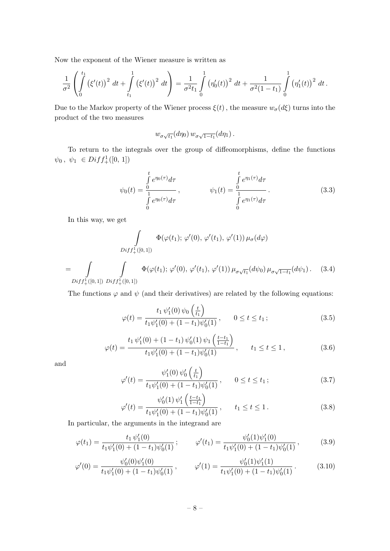Now the exponent of the Wiener measure is written as

$$
\frac{1}{\sigma^2} \left( \int_0^{t_1} (\xi'(t))^2 dt + \int_{t_1}^1 (\xi'(t))^2 dt \right) = \frac{1}{\sigma^2 t_1} \int_0^1 (\eta'_0(t))^2 dt + \frac{1}{\sigma^2 (1-t_1)} \int_0^1 (\eta'_1(t))^2 dt.
$$

Due to the Markov property of the Wiener process  $\xi(t)$ , the measure  $w_{\sigma}(d\xi)$  turns into the product of the two measures

$$
w_{\sigma\sqrt{t_1}}(d\eta_0) w_{\sigma\sqrt{1-t_1}}(d\eta_1).
$$

To return to the integrals over the group of diffeomorphisms, define the functions  $\psi_0, \psi_1 \in Diff^1_+([0, 1])$ 

$$
\psi_0(t) = \frac{\int_0^t e^{\eta_0(\tau)} d\tau}{\int_0^t e^{\eta_0(\tau)} d\tau}, \qquad \psi_1(t) = \frac{\int_0^t e^{\eta_1(\tau)} d\tau}{\int_0^t e^{\eta_1(\tau)} d\tau}.
$$
\n(3.3)

In this way, we get

$$
\int_{Diff_{+}^{1}([0,1])} \Phi(\varphi(t_{1}); \varphi'(0), \varphi'(t_{1}), \varphi'(1)) \mu_{\sigma}(d\varphi)
$$
\n
$$
= \int_{Diff_{+}^{1}([0,1])} \int_{Diff_{+}^{1}([0,1])} \Phi(\varphi(t_{1}); \varphi'(0), \varphi'(t_{1}), \varphi'(1)) \mu_{\sigma\sqrt{t_{1}}}(d\psi_{0}) \mu_{\sigma\sqrt{1-t_{1}}}(d\psi_{1}). \quad (3.4)
$$

The functions  $\varphi$  and  $\psi$  (and their derivatives) are related by the following equations:

$$
\varphi(t) = \frac{t_1 \psi_1'(0) \psi_0\left(\frac{t}{t_1}\right)}{t_1 \psi_1'(0) + (1 - t_1)\psi_0'(1)}, \qquad 0 \le t \le t_1;
$$
\n(3.5)

$$
\varphi(t) = \frac{t_1 \psi_1'(0) + (1 - t_1) \psi_0'(1) \psi_1\left(\frac{t - t_1}{1 - t_1}\right)}{t_1 \psi_1'(0) + (1 - t_1) \psi_0'(1)}, \qquad t_1 \le t \le 1,
$$
\n(3.6)

and

<span id="page-8-0"></span>=

$$
\varphi'(t) = \frac{\psi_1'(0)\,\psi_0'\left(\frac{t}{t_1}\right)}{t_1\psi_1'(0) + (1-t_1)\psi_0'(1)}, \qquad 0 \le t \le t_1; \tag{3.7}
$$

$$
\varphi'(t) = \frac{\psi_0'(1)\,\psi_1'\left(\frac{t-t_1}{1-t_1}\right)}{t_1\psi_1'(0) + (1-t_1)\psi_0'(1)}, \qquad t_1 \le t \le 1. \tag{3.8}
$$

In particular, the arguments in the integrand are

<span id="page-8-1"></span>
$$
\varphi(t_1) = \frac{t_1 \psi_1'(0)}{t_1 \psi_1'(0) + (1 - t_1)\psi_0'(1)}; \qquad \varphi'(t_1) = \frac{\psi_0'(1)\psi_1'(0)}{t_1 \psi_1'(0) + (1 - t_1)\psi_0'(1)},
$$
(3.9)

<span id="page-8-2"></span>
$$
\varphi'(0) = \frac{\psi_0'(0)\psi_1'(0)}{t_1\psi_1'(0) + (1 - t_1)\psi_0'(1)}, \qquad \varphi'(1) = \frac{\psi_0'(1)\psi_1'(1)}{t_1\psi_1'(0) + (1 - t_1)\psi_0'(1)}.
$$
\n(3.10)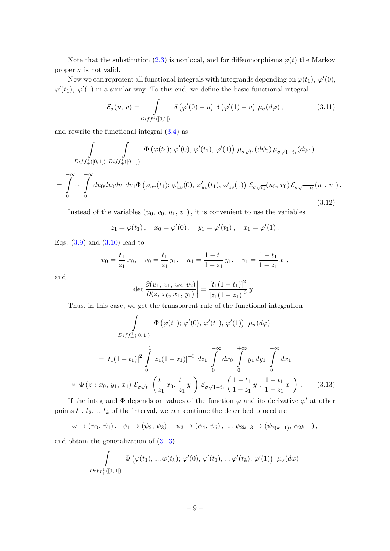Note that the substitution [\(2.3\)](#page-4-2) is nonlocal, and for diffeomorphisms  $\varphi(t)$  the Markov property is not valid.

Now we can represent all functional integrals with integrands depending on  $\varphi(t_1)$ ,  $\varphi'(0)$ ,  $\varphi'(t_1), \varphi'(1)$  in a similar way. To this end, we define the basic functional integral:

<span id="page-9-1"></span>
$$
\mathcal{E}_{\sigma}(u, v) = \int_{Diff^{1}([0,1])} \delta\left(\varphi'(0) - u\right) \delta\left(\varphi'(1) - v\right) \mu_{\sigma}(d\varphi), \tag{3.11}
$$

and rewrite the functional integral [\(3.4\)](#page-8-0) as

$$
\int_{Diff_{+}^{1}([0,1])} \int_{Diff_{+}^{1}([0,1])} \Phi\left(\varphi(t_{1});\varphi'(0),\varphi'(t_{1}),\varphi'(1)\right) \mu_{\sigma\sqrt{t_{1}}}(d\psi_{0}) \mu_{\sigma\sqrt{1-t_{1}}}(d\psi_{1})
$$
\n
$$
= \int_{0}^{+\infty} \cdots \int_{0}^{+\infty} du_{0} dv_{0} du_{1} dv_{1} \Phi\left(\varphi_{uv}(t_{1});\varphi'_{uv}(0),\varphi'_{uv}(t_{1}),\varphi'_{uv}(1)\right) \mathcal{E}_{\sigma\sqrt{t_{1}}}(u_{0},v_{0}) \mathcal{E}_{\sigma\sqrt{1-t_{1}}}(u_{1},v_{1}).
$$
\n(3.12)

Instead of the variables  $(u_0, v_0, u_1, v_1)$ , it is convenient to use the variables

$$
z_1 = \varphi(t_1), \quad x_0 = \varphi'(0), \quad y_1 = \varphi'(t_1), \quad x_1 = \varphi'(1).
$$

Eqs.  $(3.9)$  and  $(3.10)$  lead to

$$
u_0 = \frac{t_1}{z_1} x_0
$$
,  $v_0 = \frac{t_1}{z_1} y_1$ ,  $u_1 = \frac{1 - t_1}{1 - z_1} y_1$ ,  $v_1 = \frac{1 - t_1}{1 - z_1} x_1$ ,

and

$$
\left| \det \frac{\partial(u_1, v_1, u_2, v_2)}{\partial(z, x_0, x_1, y_1)} \right| = \frac{[t_1(1 - t_1)]^2}{[z_1(1 - z_1)]^3} y_1.
$$

Thus, in this case, we get the transparent rule of the functional integration

$$
\int \Phi(\varphi(t_1); \varphi'(0), \varphi'(t_1), \varphi'(1)) \mu_{\sigma}(d\varphi)
$$
\n
$$
Diff_{+}^{1}([0,1])
$$
\n
$$
= [t_1(1-t_1)]^2 \int_{0}^{1} [z_1(1-z_1)]^{-3} dz_1 \int_{0}^{+\infty} dx_0 \int_{0}^{+\infty} y_1 dy_1 \int_{0}^{+\infty} dx_1
$$
\n
$$
\times \Phi(z_1; x_0, y_1, x_1) \mathcal{E}_{\sigma\sqrt{t_1}}\left(\frac{t_1}{z_1} x_0, \frac{t_1}{z_1} y_1\right) \mathcal{E}_{\sigma\sqrt{1-t_1}}\left(\frac{1-t_1}{1-z_1} y_1, \frac{1-t_1}{1-z_1} x_1\right). \tag{3.13}
$$

<span id="page-9-0"></span>If the integrand  $\Phi$  depends on values of the function  $\varphi$  and its derivative  $\varphi'$  at other points  $t_1, t_2, \ldots t_k$  of the interval, we can continue the described procedure

$$
\varphi \to (\psi_0, \psi_1), \psi_1 \to (\psi_2, \psi_3), \psi_3 \to (\psi_4, \psi_5), \dots \psi_{2k-3} \to (\psi_{2(k-1)}, \psi_{2k-1}),
$$

and obtain the generalization of [\(3.13\)](#page-9-0)

$$
\int_{Diff^{1}_{+}([0,1])} \Phi\left(\varphi(t_{1}), \ldots \varphi(t_{k}); \varphi'(0), \varphi'(t_{1}), \ldots \varphi'(t_{k}), \varphi'(1)\right) \mu_{\sigma}(d\varphi)
$$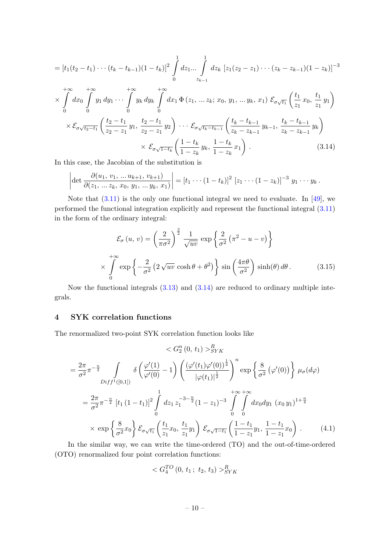$$
= [t_1(t_2 - t_1) \cdots (t_k - t_{k-1})(1 - t_k)]^2 \int_0^1 dz_1 \cdots \int_0^1 dz_k [z_1(z_2 - z_1) \cdots (z_k - z_{k-1})(1 - z_k)]^{-3}
$$
  
\n
$$
\times \int_0^{+\infty} dx_0 \int_0^{+\infty} y_1 dy_1 \cdots \int_0^{+\infty} y_k dy_k \int_0^{+\infty} dx_1 \Phi(z_1, \dots z_k; x_0, y_1, \dots y_k, x_1) \mathcal{E}_{\sigma \sqrt{t_1}} \left( \frac{t_1}{z_1} x_0, \frac{t_1}{z_1} y_1 \right)
$$
  
\n
$$
\times \mathcal{E}_{\sigma \sqrt{t_2 - t_1}} \left( \frac{t_2 - t_1}{z_2 - z_1} y_1, \frac{t_2 - t_1}{z_2 - z_1} y_2 \right) \cdots \mathcal{E}_{\sigma \sqrt{t_k - t_{k-1}}} \left( \frac{t_k - t_{k-1}}{z_k - z_{k-1}} y_{k-1}, \frac{t_k - t_{k-1}}{z_k - z_{k-1}} y_k \right)
$$
  
\n
$$
\times \mathcal{E}_{\sigma \sqrt{1 - t_k}} \left( \frac{1 - t_k}{1 - z_k} y_k, \frac{1 - t_k}{1 - z_k} x_1 \right). \tag{3.14}
$$

In this case, the Jacobian of the substitution is

<span id="page-10-1"></span>
$$
\left|\det \frac{\partial(u_1, v_1, \ldots u_{k+1}, v_{k+1})}{\partial(z_1, \ldots z_k, x_0, y_1, \ldots y_k, x_1)}\right| = [t_1 \cdots (1-t_k)]^2 [z_1 \cdots (1-z_k)]^{-3} y_1 \cdots y_k.
$$

Note that [\(3.11\)](#page-9-1) is the only one functional integral we need to evaluate. In [\[49\]](#page-20-2), we performed the functional integration explicitly and represent the functional integral [\(3.11\)](#page-9-1) in the form of the ordinary integral:

<span id="page-10-2"></span>
$$
\mathcal{E}_{\sigma}(u, v) = \left(\frac{2}{\pi\sigma^2}\right)^{\frac{3}{2}} \frac{1}{\sqrt{uv}} \exp\left\{\frac{2}{\sigma^2} \left(\pi^2 - u - v\right)\right\}
$$

$$
\times \int_{0}^{+\infty} \exp\left\{-\frac{2}{\sigma^2} \left(2\sqrt{uv}\cosh\theta + \theta^2\right)\right\} \sin\left(\frac{4\pi\theta}{\sigma^2}\right) \sinh(\theta) d\theta. \tag{3.15}
$$

Now the functional integrals  $(3.13)$  and  $(3.14)$  are reduced to ordinary multiple integrals.

## <span id="page-10-0"></span>4 SYK correlation functions

The renormalized two-point SYK correlation function looks like

$$
\langle G_2^n(0, t_1) \rangle_{SYK}^R
$$
  
=  $\frac{2\pi}{\sigma^2} \pi^{-\frac{n}{2}} \int_{Diff^1([0,1])} \delta\left(\frac{\varphi'(1)}{\varphi'(0)} - 1\right) \left(\frac{(\varphi'(t_1)\varphi'(0))^{\frac{1}{4}}}{|\varphi(t_1)|^{\frac{1}{2}}}\right)^n \exp\left\{\frac{8}{\sigma^2} (\varphi'(0))\right\} \mu_{\sigma}(d\varphi)$   
=  $\frac{2\pi}{\sigma^2} \pi^{-\frac{n}{2}} [t_1 (1 - t_1)]^2 \int_0^1 dz_1 z_1^{-3-\frac{n}{2}} (1 - z_1)^{-3} \int_0^{+\infty} \int_0^{+\infty} dx_0 dy_1 (x_0 y_1)^{1+\frac{n}{4}}$   
 $\times \exp\left\{\frac{8}{\sigma^2} x_0\right\} \mathcal{E}_{\sigma\sqrt{t_1}} \left(\frac{t_1}{z_1} x_0, \frac{t_1}{z_1} y_1\right) \mathcal{E}_{\sigma\sqrt{1-t_1}} \left(\frac{1 - t_1}{1 - z_1} y_1, \frac{1 - t_1}{1 - z_1} x_0\right).$  (4.1)

<span id="page-10-3"></span>In the similar way, we can write the time-ordered (TO) and the out-of-time-ordered (OTO) renormalized four point correlation functions:

$$
\langle G_4^{TO} (0, t_1; t_2, t_3) \rangle_{SYK}^R
$$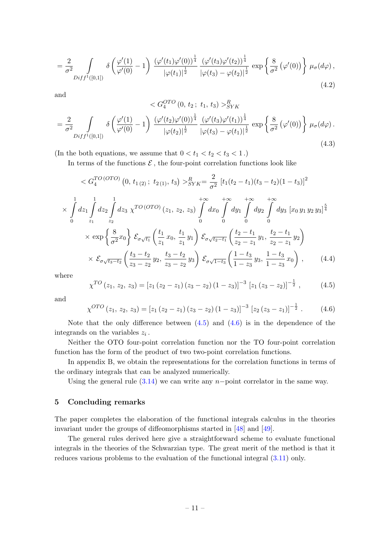$$
= \frac{2}{\sigma^2} \int\limits_{Diff^{1}([0,1])} \delta\left(\frac{\varphi'(1)}{\varphi'(0)} - 1\right) \frac{\left(\varphi'(t_1)\varphi'(0)\right)^{\frac{1}{4}}}{|\varphi(t_1)|^{\frac{1}{2}}} \frac{\left(\varphi'(t_3)\varphi'(t_2)\right)^{\frac{1}{4}}}{|\varphi(t_3) - \varphi(t_2)|^{\frac{1}{2}}} \exp\left\{\frac{8}{\sigma^2} \left(\varphi'(0)\right)\right\} \mu_{\sigma}(d\varphi),\tag{4.2}
$$

and

$$
\langle G_4^{OTO} (0, t_2; t_1, t_3) \rangle_{SYK}^R
$$
\n
$$
= \frac{2}{\sigma^2} \int_{Diff^1([0,1])} \delta \left( \frac{\varphi'(1)}{\varphi'(0)} - 1 \right) \frac{(\varphi'(t_2)\varphi'(0))^{\frac{1}{4}}}{|\varphi(t_2)|^{\frac{1}{2}}} \frac{(\varphi'(t_3)\varphi'(t_1))^{\frac{1}{4}}}{|\varphi(t_3) - \varphi(t_1)|^{\frac{1}{2}}} \exp \left\{ \frac{8}{\sigma^2} (\varphi'(0)) \right\} \mu_{\sigma}(d\varphi).
$$
\n(4.3)

(In the both equations, we assume that  $0 < t_1 < t_2 < t_3 < 1$ .)

In terms of the functions  $\mathcal E$ , the four-point correlation functions look like

$$
\langle G_4^{TO (OTO)} (0, t_{1(2)}; t_{2(1)}, t_3) \rangle_{SYK}^R = \frac{2}{\sigma^2} [t_1(t_2 - t_1)(t_3 - t_2)(1 - t_3)]^2
$$
  
\n
$$
\times \int_0^1 dz_1 \int_{z_1}^1 dz_2 \int_{z_2}^1 dz_3 \chi^{TO (OTO)} (z_1, z_2, z_3) \int_0^{+\infty} dx_0 \int_0^{+\infty} dy_1 \int_0^{+\infty} dy_2 \int_0^{+\infty} dy_3 [x_0 y_1 y_2 y_3]^\frac{5}{4}
$$
  
\n
$$
\times \exp \left\{ \frac{8}{\sigma^2} x_0 \right\} \mathcal{E}_{\sigma \sqrt{t_1}} \left( \frac{t_1}{z_1} x_0, \frac{t_1}{z_1} y_1 \right) \mathcal{E}_{\sigma \sqrt{t_2 - t_1}} \left( \frac{t_2 - t_1}{z_2 - z_1} y_1, \frac{t_2 - t_1}{z_2 - z_1} y_2 \right)
$$
  
\n
$$
\times \mathcal{E}_{\sigma \sqrt{t_3 - t_2}} \left( \frac{t_3 - t_2}{z_3 - z_2} y_2, \frac{t_3 - t_2}{z_3 - z_2} y_3 \right) \mathcal{E}_{\sigma \sqrt{1 - t_3}} \left( \frac{1 - t_3}{1 - z_3} y_3, \frac{1 - t_3}{1 - z_3} x_0 \right), \qquad (4.4)
$$

where

<span id="page-11-3"></span><span id="page-11-1"></span>
$$
\chi^{TO}(z_1, z_2, z_3) = [z_1 (z_2 - z_1) (z_3 - z_2) (1 - z_3)]^{-3} [z_1 (z_3 - z_2)]^{-\frac{1}{2}}, \qquad (4.5)
$$

and

<span id="page-11-2"></span>
$$
\chi^{OTO}(z_1, z_2, z_3) = [z_1 (z_2 - z_1) (z_3 - z_2) (1 - z_3)]^{-3} [z_2 (z_3 - z_1)]^{-\frac{1}{2}}.
$$
 (4.6)

Note that the only difference between  $(4.5)$  and  $(4.6)$  is in the dependence of the integrands on the variables  $z_i$ .

Neither the OTO four-point correlation function nor the TO four-point correlation function has the form of the product of two two-point correlation functions.

In appendix B, we obtain the representations for the correlation functions in terms of the ordinary integrals that can be analyzed numerically.

Using the general rule  $(3.14)$  we can write any n−point correlator in the same way.

#### <span id="page-11-0"></span>5 Concluding remarks

The paper completes the elaboration of the functional integrals calculus in the theories invariant under the groups of diffeomorphisms started in [\[48\]](#page-20-1) and [\[49\]](#page-20-2).

The general rules derived here give a straightforward scheme to evaluate functional integrals in the theories of the Schwarzian type. The great merit of the method is that it reduces various problems to the evaluation of the functional integral [\(3.11\)](#page-9-1) only.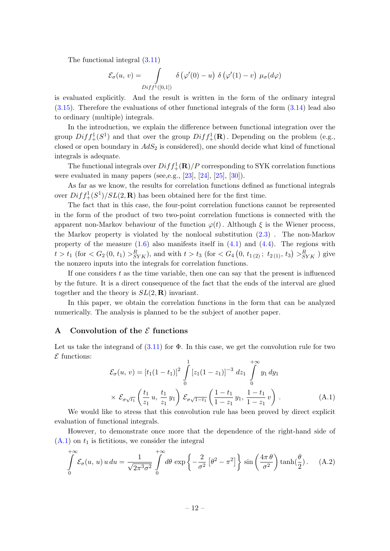The functional integral [\(3.11\)](#page-9-1)

$$
\mathcal{E}_{\sigma}(u, v) = \int_{Diff^{1}([0,1])} \delta(\varphi'(0) - u) \delta(\varphi'(1) - v) \mu_{\sigma}(d\varphi)
$$

is evaluated explicitly. And the result is written in the form of the ordinary integral [\(3.15\)](#page-10-2). Therefore the evaluations of other functional integrals of the form [\(3.14\)](#page-10-1) lead also to ordinary (multiple) integrals.

In the introduction, we explain the difference between functional integration over the group  $Diff_{+}^{1}(S^{1})$  and that over the group  $Diff_{+}^{1}(\mathbf{R})$ . Depending on the problem (e.g., closed or open boundary in  $AdS_2$  is considered), one should decide what kind of functional integrals is adequate.

The functional integrals over  $Diff_{+}^{1}(\mathbf{R})/P$  corresponding to SYK correlation functions were evaluated in many papers (see, e.g.,  $[23]$ ,  $[24]$ ,  $[25]$ ,  $[30]$ ).

As far as we know, the results for correlation functions defined as functional integrals over  $Diff_{+}^{1}(S^{1})/SL(2, \mathbf{R})$  has been obtained here for the first time.

The fact that in this case, the four-point correlation functions cannot be represented in the form of the product of two two-point correlation functions is connected with the apparent non-Markov behaviour of the function  $\varphi(t)$ . Although  $\xi$  is the Wiener process, the Markov property is violated by the nonlocal substitution [\(2.3\)](#page-4-2) . The non-Markov property of the measure  $(1.6)$  also manifests itself in  $(4.1)$  and  $(4.4)$ . The regions with  $t > t_1$  (for  $\lt G_2(0, t_1) >^R_{SYK}$ ), and with  $t > t_3$  (for  $\lt G_4(0, t_{1(2)}; t_{2(1)}, t_3) >^R_{SYK}$ ) give the nonzero inputs into the integrals for correlation functions.

If one considers  $t$  as the time variable, then one can say that the present is influenced by the future. It is a direct consequence of the fact that the ends of the interval are glued together and the theory is  $SL(2,\mathbf{R})$  invariant.

In this paper, we obtain the correlation functions in the form that can be analyzed numerically. The analysis is planned to be the subject of another paper.

#### <span id="page-12-0"></span>A Convolution of the  $\mathcal E$  functions

Let us take the integrand of  $(3.11)$  for  $\Phi$ . In this case, we get the convolution rule for two  $E$  functions:

<span id="page-12-1"></span>
$$
\mathcal{E}_{\sigma}(u, v) = [t_1(1-t_1)]^2 \int_0^1 [z_1(1-z_1)]^{-3} dz_1 \int_0^{+\infty} y_1 dy_1
$$
  
 
$$
\times \mathcal{E}_{\sigma\sqrt{t_1}}\left(\frac{t_1}{z_1}u, \frac{t_1}{z_1}y_1\right) \mathcal{E}_{\sigma\sqrt{1-t_1}}\left(\frac{1-t_1}{1-z_1}y_1, \frac{1-t_1}{1-z_1}v\right).
$$
 (A.1)

We would like to stress that this convolution rule has been proved by direct explicit evaluation of functional integrals.

However, to demonstrate once more that the dependence of the right-hand side of  $(A.1)$  on  $t_1$  is fictitious, we consider the integral

<span id="page-12-2"></span>
$$
\int_{0}^{+\infty} \mathcal{E}_{\sigma}(u, u) u du = \frac{1}{\sqrt{2\pi^{3} \sigma^{2}}} \int_{0}^{+\infty} d\theta \exp\left\{-\frac{2}{\sigma^{2}} \left[\theta^{2} - \pi^{2}\right] \right\} \sin\left(\frac{4\pi \theta}{\sigma^{2}}\right) \tanh(\frac{\theta}{2}). \quad (A.2)
$$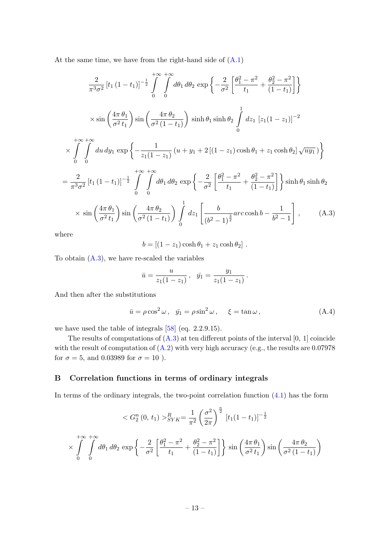At the same time, we have from the right-hand side of [\(A.1\)](#page-12-1)

$$
\frac{2}{\pi^3 \sigma^2} [t_1 (1 - t_1)]^{-\frac{1}{2}} \int_0^{+\infty} \int_0^{+\infty} d\theta_1 d\theta_2 \exp \left\{ -\frac{2}{\sigma^2} \left[ \frac{\theta_1^2 - \pi^2}{t_1} + \frac{\theta_2^2 - \pi^2}{(1 - t_1)} \right] \right\}
$$
  
\n
$$
\times \sin \left( \frac{4\pi \theta_1}{\sigma^2 t_1} \right) \sin \left( \frac{4\pi \theta_2}{\sigma^2 (1 - t_1)} \right) \sinh \theta_1 \sinh \theta_2 \int_0^1 dz_1 [z_1 (1 - z_1)]^{-2}
$$
  
\n
$$
\times \int_0^{+\infty} \int_0^{+\infty} du dy_1 \exp \left\{ -\frac{1}{z_1 (1 - z_1)} (u + y_1 + 2 [(1 - z_1) \cosh \theta_1 + z_1 \cosh \theta_2] \sqrt{uy_1} ) \right\}
$$
  
\n
$$
= \frac{2}{\pi^3 \sigma^2} [t_1 (1 - t_1)]^{-\frac{1}{2}} \int_0^{+\infty} \int_0^{+\infty} d\theta_1 d\theta_2 \exp \left\{ -\frac{2}{\sigma^2} \left[ \frac{\theta_1^2 - \pi^2}{t_1} + \frac{\theta_2^2 - \pi^2}{(1 - t_1)} \right] \right\} \sinh \theta_1 \sinh \theta_2
$$
  
\n
$$
\times \sin \left( \frac{4\pi \theta_1}{\sigma^2 t_1} \right) \sin \left( \frac{4\pi \theta_2}{\sigma^2 (1 - t_1)} \right) \int_0^1 dz_1 \left[ \frac{b}{(b^2 - 1)^{\frac{3}{2}}} arc \cosh b - \frac{1}{b^2 - 1} \right], \qquad (A.3)
$$

<span id="page-13-1"></span>where

$$
b = [(1 - z1) \cosh \theta1 + z1 \cosh \theta2].
$$

To obtain  $(A.3)$ , we have re-scaled the variables

$$
\bar{u} = \frac{u}{z_1(1-z_1)}, \quad \bar{y_1} = \frac{y_1}{z_1(1-z_1)}.
$$

And then after the substitutions

<span id="page-13-2"></span>
$$
\bar{u} = \rho \cos^2 \omega \,, \quad \bar{y_1} = \rho \sin^2 \omega \,, \qquad \xi = \tan \omega \,, \tag{A.4}
$$

we have used the table of integrals [\[58\]](#page-20-10) (eq. 2.2.9.15).

The results of computations of  $(A.3)$  at ten different points of the interval  $[0, 1]$  coincide with the result of computation of  $(A.2)$  with very high accuracy (e.g., the results are 0.07978) for  $\sigma = 5$ , and 0.03989 for  $\sigma = 10$ ).

## <span id="page-13-0"></span>B Correlation functions in terms of ordinary integrals

In terms of the ordinary integrals, the two-point correlation function  $(4.1)$  has the form

$$
\langle G_2^n(0, t_1) \rangle_{SYK}^R = \frac{1}{\pi^2} \left(\frac{\sigma^2}{2\pi}\right)^{\frac{n}{2}} \left[t_1(1 - t_1)\right]^{-\frac{1}{2}}
$$

$$
\times \int_0^{+\infty} \int_0^{+\infty} d\theta_1 d\theta_2 \exp\left\{-\frac{2}{\sigma^2} \left[\frac{\theta_1^2 - \pi^2}{t_1} + \frac{\theta_2^2 - \pi^2}{(1 - t_1)}\right]\right\} \sin\left(\frac{4\pi \theta_1}{\sigma^2 t_1}\right) \sin\left(\frac{4\pi \theta_2}{\sigma^2 (1 - t_1)}\right)
$$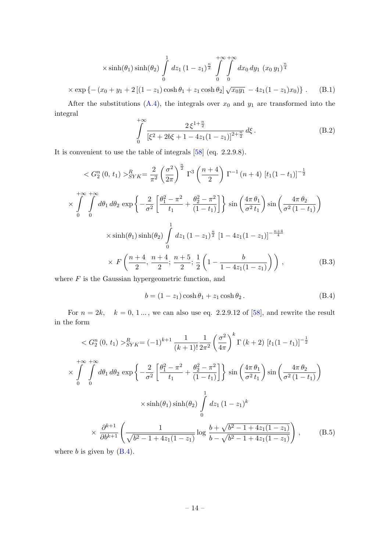$$
\times \sinh(\theta_1) \sinh(\theta_2) \int_0^1 dz_1 (1 - z_1)^{\frac{n}{2}} \int_0^{+\infty} \int_0^{+\infty} dx_0 dy_1 (x_0 y_1)^{\frac{n}{4}}
$$
  
 
$$
\times \exp \left\{ - (x_0 + y_1 + 2[(1 - z_1)\cosh \theta_1 + z_1 \cosh \theta_2] \sqrt{x_0 y_1} - 4z_1(1 - z_1)x_0) \right\}. \quad (B.1)
$$

After the substitutions  $(A.4)$ , the integrals over  $x_0$  and  $y_1$  are transformed into the integral

$$
\int_{0}^{+\infty} \frac{2\,\xi^{1+\frac{n}{2}}}{\left[\xi^2 + 2b\xi + 1 - 4z_1(1-z_1)\right]^{2+\frac{n}{2}}} d\xi \,. \tag{B.2}
$$

It is convenient to use the table of integrals [\[58\]](#page-20-10) (eq. 2.2.9.8).

$$
\langle G_2^n(0, t_1) \rangle_{SYK}^R = \frac{2}{\pi^2} \left( \frac{\sigma^2}{2\pi} \right)^{\frac{n}{2}} \Gamma^3 \left( \frac{n+4}{2} \right) \Gamma^{-1} (n+4) [t_1(1-t_1)]^{-\frac{1}{2}}
$$
  

$$
\times \int_0^{+\infty} \int_0^{+\infty} d\theta_1 d\theta_2 \exp \left\{ -\frac{2}{\sigma^2} \left[ \frac{\theta_1^2 - \pi^2}{t_1} + \frac{\theta_2^2 - \pi^2}{(1-t_1)} \right] \right\} \sin \left( \frac{4\pi \theta_1}{\sigma^2 t_1} \right) \sin \left( \frac{4\pi \theta_2}{\sigma^2 (1-t_1)} \right)
$$
  

$$
\times \sinh(\theta_1) \sinh(\theta_2) \int_0^1 dz_1 (1-z_1)^{\frac{n}{2}} [1-4z_1(1-z_1)]^{-\frac{n+4}{4}}
$$
  

$$
\times F \left( \frac{n+4}{2}, \frac{n+4}{2}; \frac{n+5}{2}; \frac{1}{2} \left( 1 - \frac{b}{1-4z_1(1-z_1)} \right) \right), \qquad (B.3)
$$

where  $F$  is the Gaussian hypergeometric function, and

<span id="page-14-0"></span>
$$
b = (1 - z1) \cosh \theta1 + z1 \cosh \theta2.
$$
 (B.4)

For  $n = 2k$ ,  $k = 0, 1...$ , we can also use eq. 2.2.9.12 of [\[58\]](#page-20-10), and rewrite the result in the form

$$
\langle G_2^n(0, t_1) \rangle_{SYK}^R = (-1)^{k+1} \frac{1}{(k+1)!} \frac{1}{2\pi^2} \left(\frac{\sigma^2}{4\pi}\right)^k \Gamma(k+2) \left[t_1(1-t_1)\right]^{-\frac{1}{2}}
$$
  
\n
$$
\times \int_0^{+\infty} \int_0^{+\infty} d\theta_1 d\theta_2 \exp\left\{-\frac{2}{\sigma^2} \left[\frac{\theta_1^2 - \pi^2}{t_1} + \frac{\theta_2^2 - \pi^2}{(1-t_1)}\right] \right\} \sin\left(\frac{4\pi \theta_1}{\sigma^2 t_1}\right) \sin\left(\frac{4\pi \theta_2}{\sigma^2 (1-t_1)}\right)
$$
  
\n
$$
\times \sinh(\theta_1) \sinh(\theta_2) \int_0^1 dz_1 (1-z_1)^k
$$
  
\n
$$
\times \frac{\partial^{k+1}}{\partial b^{k+1}} \left(\frac{1}{\sqrt{b^2 - 1 + 4z_1(1-z_1)}} \log \frac{b + \sqrt{b^2 - 1 + 4z_1(1-z_1)}}{b - \sqrt{b^2 - 1 + 4z_1(1-z_1)}}\right), \qquad (B.5)
$$

where  $b$  is given by  $(B.4)$ .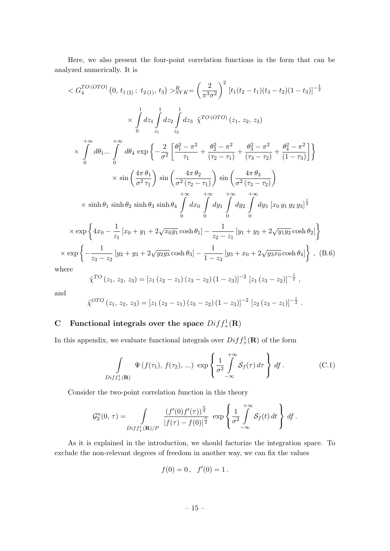Here, we also present the four-point correlation functions in the form that can be analyzed numerically. It is

$$
\langle G_{4}^{TO(OTO)} (0, t_{1(2)}; t_{2(1)}, t_3) \rangle_{SYK}^{R} = \left(\frac{2}{\pi^3 \sigma^2}\right)^2 \left[t_1(t_2 - t_1)(t_3 - t_2)(1 - t_3)\right]^{-\frac{1}{2}}
$$
\n
$$
\times \int_{0}^{1} dz_1 \int_{z_1}^{1} dz_2 \int_{z_2}^{1} dz_3 \ \tilde{\chi}^{TO(OTO)} (z_1, z_2, z_3)
$$
\n
$$
\times \int_{0}^{+\infty} d\theta_1 ... \int_{0}^{+\infty} d\theta_4 \ \exp\left\{-\frac{2}{\sigma^2} \left[\frac{\theta_1^2 - \pi^2}{\tau_1} + \frac{\theta_2^2 - \pi^2}{(\tau_2 - \tau_1)} + \frac{\theta_3^2 - \pi^2}{(\tau_3 - \tau_2)} + \frac{\theta_4^2 - \pi^2}{(1 - \tau_3)}\right]\right\}
$$
\n
$$
\times \sin\left(\frac{4\pi \theta_1}{\sigma^2 \tau_1}\right) \sin\left(\frac{4\pi \theta_2}{\sigma^2 (\tau_2 - \tau_1)}\right) \sin\left(\frac{4\pi \theta_3}{\sigma^2 (\tau_3 - \tau_2)}\right)
$$
\n
$$
\times \sinh \theta_1 \sinh \theta_2 \sinh \theta_3 \sinh \theta_4 \int_{0}^{+\infty} dx_0 \int_{0}^{+\infty} dy_1 \int_{0}^{+\infty} dy_2 \int_{0}^{+\infty} dy_3 [x_0 y_1 y_2 y_3]^\frac{1}{4}
$$
\n
$$
\times \exp\left\{4x_0 - \frac{1}{z_1} [x_0 + y_1 + 2\sqrt{x_0 y_1} \cosh \theta_1] - \frac{1}{z_2 - z_1} [y_1 + y_2 + 2\sqrt{y_1 y_2} \cosh \theta_2] \right\}
$$
\n
$$
\exp\left\{-\frac{1}{z_3 - z_2} [y_2 + y_3 + 2\sqrt{y_2 y_3} \cosh \theta_3] - \frac{1}{1 - z_3} [y_3 + x_0 + 2\sqrt{y_3 x_0} \cosh \theta_4] \right\}, (B.6)
$$

 $w$ he

 $\times$ 

$$
\tilde{\chi}^{TO}(z_1, z_2, z_3) = [z_1 (z_2 - z_1) (z_3 - z_2) (1 - z_3)]^{-2} [z_1 (z_3 - z_2)]^{-\frac{1}{2}},
$$

and

$$
\tilde{\chi}^{OTO}\left(z_1,\,z_2,\,z_3\right) = \left[z_1\left(z_2-z_1\right)\left(z_3-z_2\right)\left(1-z_3\right)\right]^{-2}\,\left[z_2\left(z_3-z_1\right)\right]^{-\frac{1}{2}}.
$$

# <span id="page-15-0"></span>C Functional integrals over the space  $Diff_{+}^{1}(\mathbf{R})$

In this appendix, we evaluate functional integrals over  $Diff_{+}^{1}(\mathbf{R})$  of the form

$$
\int_{Diff_{+}^{1}(\mathbf{R})} \Psi\left(f(\tau_{1}), f(\tau_{2}), ...\right) \, \exp\left\{\frac{1}{\sigma^{2}} \int\limits_{-\infty}^{+\infty} \mathcal{S}_{f}(\tau) \, d\tau\right\} \, df. \tag{C.1}
$$

Consider the two-point correlation function in this theory

$$
\mathcal{G}_2^n(0,\,\tau)=\int\limits_{Diff_+^1(\mathbf{R})/P}\frac{(f'(0)f'(\tau))^{\frac{n}{4}}}{|f(\tau)-f(0)|^{\frac{n}{2}}}\,\exp\left\{\frac{1}{\sigma^2}\int\limits_{-\infty}^{+\infty}\mathcal{S}_f(t)\,dt\right\}\,df\,.
$$

As it is explained in the introduction, we should factorize the integration space. To exclude the non-relevant degrees of freedom in another way, we can fix the values

$$
f(0) = 0 \, , \quad f'(0) = 1 \, .
$$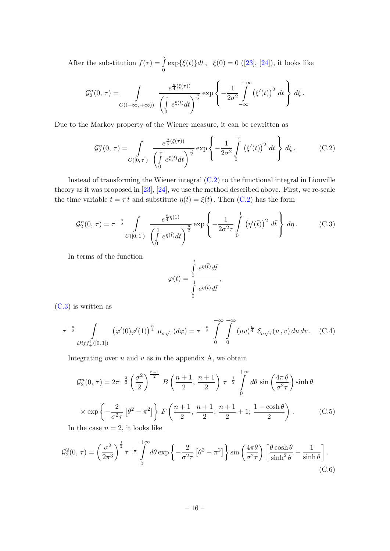After the substitution  $f(\tau) = \int_0^{\tau}$ 0  $\exp{\{\xi(t)\}dt}$ , $\xi(0) = 0$  ([\[23\]](#page-19-0), [\[24\]](#page-19-2)), it looks like

$$
\mathcal{G}_2^n(0,\,\tau)=\int\limits_{C((-\infty,\,+\infty))}\frac{e^{\frac{n}{4}(\xi(\tau))}}{\left(\int\limits_0^{\tau}e^{\xi(t)}dt\right)^{\frac{n}{2}}}\exp\left\{-\frac{1}{2\sigma^2}\int\limits_{-\infty}^{+\infty}\left(\xi'(t)\right)^2\,dt\right\}\,d\xi\,.
$$

Due to the Markov property of the Wiener measure, it can be rewritten as

<span id="page-16-0"></span>
$$
\mathcal{G}_2^n(0,\,\tau) = \int\limits_{C([0,\,\tau])} \frac{e^{\frac{n}{4}(\xi(\tau))}}{\left(\int\limits_0^{\tau} e^{\xi(t)}dt\right)^{\frac{n}{2}}} \exp\left\{-\frac{1}{2\sigma^2} \int\limits_0^{\tau} \left(\xi'(t)\right)^2 dt\right\} d\xi \,. \tag{C.2}
$$

Instead of transforming the Wiener integral [\(C.2\)](#page-16-0) to the functional integral in Liouville theory as it was proposed in [\[23\]](#page-19-0), [\[24\]](#page-19-2), we use the method described above. First, we re-scale the time variable  $t = \tau \bar{t}$  and substitute  $\eta(\bar{t}) = \xi(t)$ . Then [\(C.2\)](#page-16-0) has the form

<span id="page-16-1"></span>
$$
\mathcal{G}_2^n(0,\,\tau) = \tau^{-\frac{n}{2}} \int\limits_{C([0,\,1])} \frac{e^{\frac{n}{4}\eta(1)}}{\left(\int\limits_0^1 e^{\eta(\bar{t})}d\bar{t}\right)^{\frac{n}{2}}} \exp\left\{-\frac{1}{2\sigma^2\tau}\int\limits_0^1 \left(\eta'(\bar{t})\right)^2 d\bar{t}\right\} d\eta. \tag{C.3}
$$

In terms of the function

$$
\varphi(t) = \frac{\int\limits_0^t e^{\eta(\bar{t})} d\bar{t}}{\int\limits_0^1 e^{\eta(\bar{t})} d\bar{t}},
$$

[\(C.3\)](#page-16-1) is written as

$$
\tau^{-\frac{n}{2}} \int_{Diff_{+}^{1}([0,1])} (\varphi'(0)\varphi'(1))^{\frac{n}{4}} \mu_{\sigma\sqrt{\tau}}(d\varphi) = \tau^{-\frac{n}{2}} \int_{0}^{+\infty} \int_{0}^{+\infty} (uv)^{\frac{n}{4}} \mathcal{E}_{\sigma\sqrt{\tau}}(u,v) du dv.
$$
 (C.4)

Integrating over  $u$  and  $v$  as in the appendix A, we obtain

$$
\mathcal{G}_2^n(0, \tau) = 2\pi^{-\frac{3}{2}} \left(\frac{\sigma^2}{2}\right)^{\frac{n-1}{2}} B\left(\frac{n+1}{2}, \frac{n+1}{2}\right) \tau^{-\frac{1}{2}} \int_0^{+\infty} d\theta \sin\left(\frac{4\pi \theta}{\sigma^2 \tau}\right) \sinh \theta
$$
  
 
$$
\times \exp\left\{-\frac{2}{\sigma^2 \tau} \left[\theta^2 - \pi^2\right] \right\} F\left(\frac{n+1}{2}, \frac{n+1}{2}; \frac{n+1}{2} + 1; \frac{1 - \cosh \theta}{2}\right).
$$
 (C.5)

<span id="page-16-2"></span>In the case  $n = 2$ , it looks like

$$
\mathcal{G}_2^2(0,\,\tau) = \left(\frac{\sigma^2}{2\pi^3}\right)^{\frac{1}{2}} \tau^{-\frac{1}{2}} \int_0^{+\infty} d\theta \exp\left\{-\frac{2}{\sigma^2 \tau} \left[\theta^2 - \pi^2\right]\right\} \sin\left(\frac{4\pi\theta}{\sigma^2 \tau}\right) \left[\frac{\theta \cosh\theta}{\sinh^2\theta} - \frac{1}{\sinh\theta}\right].\tag{C.6}
$$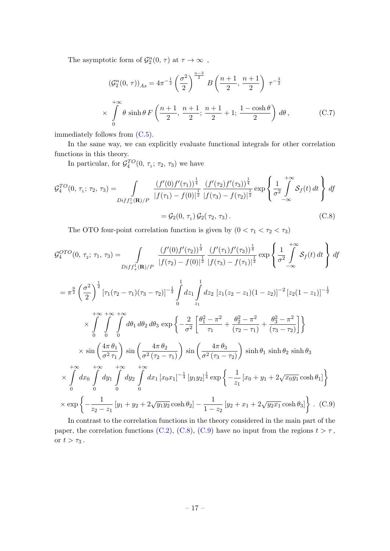The asymptotic form of  $\mathcal{G}_2^n(0, \tau)$  at  $\tau \to \infty$ ,

$$
\left(\mathcal{G}_2^n(0,\,\tau)\right)_{As} = 4\pi^{-\frac{1}{2}} \left(\frac{\sigma^2}{2}\right)^{\frac{n-3}{2}} B\left(\frac{n+1}{2},\,\frac{n+1}{2}\right) \,\tau^{-\frac{3}{2}} \\
\times \int_0^{+\infty} \theta \sinh\theta \, F\left(\frac{n+1}{2},\,\frac{n+1}{2};\,\frac{n+1}{2}+1;\,\frac{1-\cosh\theta}{2}\right) \,d\theta \,,\n\tag{C.7}
$$

immediately follows from [\(C.5\)](#page-16-2).

In the same way, we can explicitly evaluate functional integrals for other correlation functions in this theory.

In particular, for  $\mathcal{G}_4^{TO}(0, \tau_1; \tau_2, \tau_3)$  we have

$$
\mathcal{G}_4^{TO}(0, \tau_1; \tau_2, \tau_3) = \int_{Diff_+^1(\mathbf{R})/P} \frac{(f'(0)f'(\tau_1))^{\frac{1}{4}}}{|f(\tau_1) - f(0)|^{\frac{1}{2}}} \frac{(f'(\tau_2)f'(\tau_3))^{\frac{1}{4}}}{|f(\tau_3) - f(\tau_2)|^{\frac{1}{2}}} \exp\left\{\frac{1}{\sigma^2} \int_{-\infty}^{+\infty} \mathcal{S}_f(t) dt\right\} df
$$

$$
= \mathcal{G}_2(0, \tau_1) \mathcal{G}_2(\tau_2, \tau_3).
$$
(C.8)

<span id="page-17-0"></span>The OTO four-point correlation function is given by  $(0 < \tau_1 < \tau_2 < \tau_3)$ 

$$
\mathcal{G}_{4}^{OTO}(0, \tau_{2}; \tau_{1}, \tau_{3}) = \int_{Diff_{+}^{1}(\mathbf{R})/P} \frac{(f'(0)f'(\tau_{2}))^{\frac{1}{4}}}{|f(\tau_{2}) - f(0)|^{\frac{1}{2}}}|f(\tau_{3}) - f(\tau_{1})|^{\frac{1}{2}} \exp\left\{\frac{1}{\sigma^{2}} \int_{-\infty}^{+\infty} \mathcal{S}_{f}(t) dt\right\} df
$$
\n
$$
= \pi^{\frac{9}{2}} \left(\frac{\sigma^{2}}{2}\right)^{\frac{1}{2}} [\tau_{1}(\tau_{2} - \tau_{1})(\tau_{3} - \tau_{2})]^{-\frac{1}{2}} \int_{0}^{1} dz_{1} \int_{z_{1}}^{1} dz_{2} [z_{1}(z_{2} - z_{1})(1 - z_{2})]^{-2} [z_{2}(1 - z_{1})]^{-\frac{1}{2}}
$$
\n
$$
\times \int_{0}^{+\infty} \int_{0}^{+\infty} \int_{0}^{+\infty} d\theta_{1} d\theta_{2} d\theta_{3} \exp\left\{-\frac{2}{\sigma^{2}} \left[\frac{\theta_{1}^{2} - \pi^{2}}{\tau_{1}} + \frac{\theta_{2}^{2} - \pi^{2}}{(\tau_{2} - \tau_{1})} + \frac{\theta_{3}^{2} - \pi^{2}}{(\tau_{3} - \tau_{2})}\right]\right\}
$$
\n
$$
\times \sin\left(\frac{4\pi \theta_{1}}{\sigma^{2} \tau_{1}}\right) \sin\left(\frac{4\pi \theta_{2}}{\sigma^{2} (\tau_{2} - \tau_{1})}\right) \sin\left(\frac{4\pi \theta_{3}}{\sigma^{2} (\tau_{3} - \tau_{2})}\right) \sinh \theta_{1} \sinh \theta_{2} \sinh \theta_{3}
$$
\n
$$
\times \int_{0}^{+\infty} dx_{0} \int_{0}^{+\infty} dy_{1} \int_{0}^{+\infty} dy_{2} \int_{0}^{+\infty} dx_{1} [x_{0}x_{1}]^{-\frac{1}{4}} [y_{1}y_{2}]^{\frac{1}{4}} \exp\left\{-\frac{1}{z_{1}} [x_{0} + y_{1} + 2\sqrt{x_{0}y_{1}} \cosh \theta_{1}] \right\}
$$
\n
$$
\times \exp\left
$$

<span id="page-17-1"></span>In contrast to the correlation functions in the theory considered in the main part of the paper, the correlation functions [\(C.2\)](#page-16-0), [\(C.8\)](#page-17-0), [\(C.9\)](#page-17-1) have no input from the regions  $t > \tau$ , or  $t > \tau_3$ .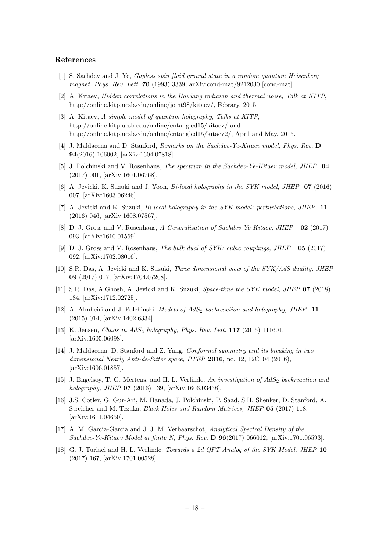#### References

- <span id="page-18-0"></span>[1] S. Sachdev and J. Ye, Gapless spin fluid ground state in a random quantum Heisenberg magnet, Phys. Rev. Lett. **70** (1993) 3339, arXiv:cond-mat/9212030 [cond-mat].
- [2] A. Kitaev, Hidden correlations in the Hawking radiaion and thermal noise, Talk at KITP, http://online.kitp.ucsb.edu/online/joint98/kitaev/, Febrary, 2015.
- [3] A. Kitaev, A simple model of quantum holography, Talks at KITP, http://online.kitp.ucsb.edu/online/entangled15/kitaev/ and http://online.kitp.ucsb.edu/online/entangled15/kitaev2/, April and May, 2015.
- [4] J. Maldacena and D. Stanford, Remarks on the Sachdev-Ye-Kitaev model, Phys. Rev. D 94(2016) 106002, [arXiv:1604.07818].
- [5] J. Polchinski and V. Rosenhaus, The spectrum in the Sachdev-Ye-Kitaev model, JHEP 04 (2017) 001, [arXiv:1601.06768].
- [6] A. Jevicki, K. Suzuki and J. Yoon, Bi-local holography in the SYK model, JHEP 07 (2016) 007, [arXiv:1603.06246].
- [7] A. Jevicki and K. Suzuki, *Bi-local holography in the SYK model: perturbations, JHEP* 11 (2016) 046, [arXiv:1608.07567].
- [8] D. J. Gross and V. Rosenhaus, A Generalization of Sachdev-Ye-Kitaev, JHEP 02 (2017) 093, [arXiv:1610.01569].
- [9] D. J. Gross and V. Rosenhaus, The bulk dual of SYK: cubic couplings, JHEP 05 (2017) 092, [arXiv:1702.08016].
- [10] S.R. Das, A. Jevicki and K. Suzuki, Three dimensional view of the SYK/AdS duality, JHEP 09 (2017) 017, [arXiv:1704.07208].
- [11] S.R. Das, A.Ghosh, A. Jevicki and K. Suzuki, Space-time the SYK model, JHEP 07 (2018) 184, [arXiv:1712.02725].
- [12] A. Almheiri and J. Polchinski, Models of  $AdS_2$  backreaction and holography, JHEP 11 (2015) 014, [arXiv:1402.6334].
- [13] K. Jensen, Chaos in  $AdS_2$  holography, Phys. Rev. Lett. **117** (2016) 111601, [arXiv:1605.06098].
- [14] J. Maldacena, D. Stanford and Z. Yang, Conformal symmetry and its breaking in two dimensional Nearly Anti-de-Sitter space, PTEP 2016, no. 12, 12C104 (2016), [arXiv:1606.01857].
- [15] J. Engelsoy, T. G. Mertens, and H. L. Verlinde, An investigation of  $AdS_2$  backreaction and holography, JHEP 07 (2016) 139, [arXiv:1606.03438].
- [16] J.S. Cotler, G. Gur-Ari, M. Hanada, J. Polchinski, P. Saad, S.H. Shenker, D. Stanford, A. Streicher and M. Tezuka, Black Holes and Random Matrices, JHEP 05 (2017) 118, [arXiv:1611.04650].
- [17] A. M. Garcia-Garcia and J. J. M. Verbaarschot, Analytical Spectral Density of the Sachdev-Ye-Kitaev Model at finite N, Phys. Rev. D 96(2017) 066012, [arXiv:1701.06593].
- [18] G. J. Turiaci and H. L. Verlinde, *Towards a 2d QFT Analog of the SYK Model, JHEP* 10 (2017) 167, [arXiv:1701.00528].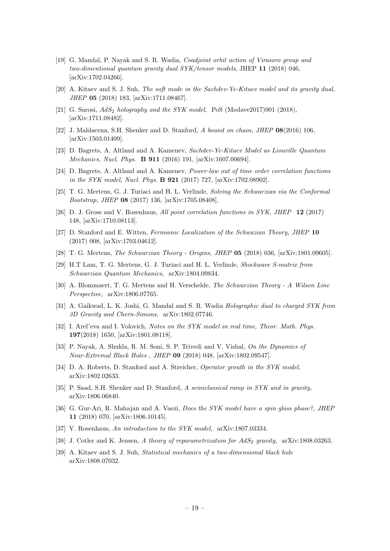- [19] G. Mandal, P. Nayak and S. R. Wadia, Coadjoint orbit action of Virasoro group and two-dimentional quantum gravity dual SYK/tensor models, JHEP 11 (2018) 046, [arXiv:1702.04266].
- [20] A. Kitaev and S. J. Suh, The soft mode in the Sachdev-Ye-Kitaev model and its gravity dual, JHEP 05 (2018) 183, [arXiv:1711.08467].
- [21] G. Sarosi,  $AdS_2$  holography and the SYK model, PoS (Modave2017)001 (2018), [arXiv:1711.08482].
- [22] J. Maldacena, S.H. Shenker and D. Stanford, A bound on chaos, JHEP 08(2016) 106, [arXiv:1503.01409].
- <span id="page-19-0"></span>[23] D. Bagrets, A. Altland and A. Kamenev, Sachdev-Ye-Kitaev Model as Liouville Quantum Mechanics, Nucl. Phys. B 911 (2016) 191, [arXiv:1607.00694].
- <span id="page-19-2"></span>[24] D. Bagrets, A. Altland and A. Kamenev, Power-law out of time order correlation functions in the SYK model, Nucl. Phys. **B 921** (2017) 727, [arXiv:1702.08902].
- <span id="page-19-3"></span>[25] T. G. Mertens, G. J. Turiaci and H. L. Verlinde, Solving the Schwarzian via the Conformal Bootstrap, JHEP 08 (2017) 136, [arXiv:1705.08408].
- [26] D. J. Gross and V. Rosenhaus, All point correlation functions in SYK, JHEP 12 (2017) 148, [arXiv:1710.08113].
- <span id="page-19-1"></span>[27] D. Stanford and E. Witten, Fermionic Localization of the Schwazian Theory, JHEP 10 (2017) 008, [arXiv:1703.04612].
- [28] T. G. Mertens, The Schwarzian Theory Origins, JHEP 05 (2018) 036, [arXiv:1801.09605].
- [29] H.T Lam, T. G. Mertens, G. J. Turiaci and H. L. Verlinde, Shockwave S-matrix from Schwarzian Quantum Mechanics, arXiv:1804.09834.
- <span id="page-19-4"></span>[30] A. Blommaert, T. G. Mertens and H. Verschelde, The Schwarzian Theory - A Wilson Line Perspective, arXiv:1806.07765.
- [31] A. Gaikwad, L. K. Joshi, G. Mandal and S. R. Wadia Holographic dual to charged SYK from 3D Gravity and Chern-Simons, arXiv:1802.07746.
- [32] I. Aref'eva and I. Volovich, Notes on the SYK model in real time, Theor. Math. Phys. 197(2018) 1650, [arXiv:1801.08118].
- [33] P. Nayak, A. Shukla, R. M. Soni, S. P. Trivedi and V. Vishal, On the Dynamics of Near-Extremal Black Holes , JHEP 09 (2018) 048, [arXiv:1802.09547].
- [34] D. A. Roberts, D. Stanford and A. Streicher, *Operator grouth in the SYK model*, arXiv:1802.02633.
- [35] P. Saad, S.H. Shenker and D. Stanford, A semiclassical ramp in SYK and in gravity, arXiv:1806.06840.
- [36] G. Gur-Ari, R. Mahajan and A. Vaezi, *Does the SYK model have a spin glass phase?*, JHEP 11 (2018) 070, [arXiv:1806.10145].
- [37] V. Rosenhaus, An introduction to the SYK model, arXiv:1807.03334.
- [38] J. Cotler and K. Jensen, A theory of reparametrization for  $AdS<sub>2</sub>$  gravity, arXiv:1808.03263.
- [39] A. Kitaev and S. J. Suh, Statistical mechanics of a two-dimensional black hole arXiv:1808.07032.